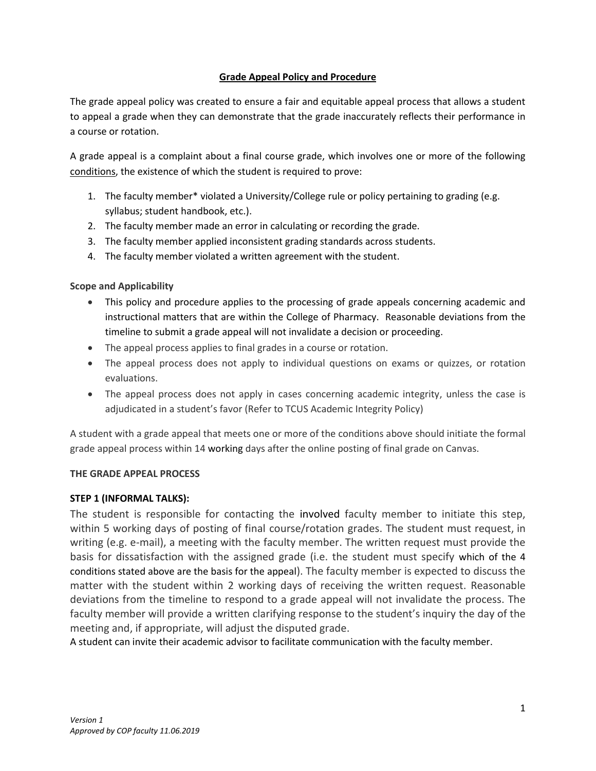# **Grade Appeal Policy and Procedure**

The grade appeal policy was created to ensure a fair and equitable appeal process that allows a student to appeal a grade when they can demonstrate that the grade inaccurately reflects their performance in a course or rotation.

A grade appeal is a complaint about a final course grade, which involves one or more of the following conditions, the existence of which the student is required to prove:

- 1. The faculty member\* violated a University/College rule or policy pertaining to grading (e.g. syllabus; student handbook, etc.).
- 2. The faculty member made an error in calculating or recording the grade.
- 3. The faculty member applied inconsistent grading standards across students.
- 4. The faculty member violated a written agreement with the student.

# **Scope and Applicability**

- This policy and procedure applies to the processing of grade appeals concerning academic and instructional matters that are within the College of Pharmacy. Reasonable deviations from the timeline to submit a grade appeal will not invalidate a decision or proceeding.
- The appeal process applies to final grades in a course or rotation.
- The appeal process does not apply to individual questions on exams or quizzes, or rotation evaluations.
- The appeal process does not apply in cases concerning academic integrity, unless the case is adjudicated in a student's favor (Refer to TCUS Academic Integrity Policy)

A student with a grade appeal that meets one or more of the conditions above should initiate the formal grade appeal process within 14 working days after the online posting of final grade on Canvas.

# **THE GRADE APPEAL PROCESS**

# **STEP 1 (INFORMAL TALKS):**

The student is responsible for contacting the involved faculty member to initiate this step, within 5 working days of posting of final course/rotation grades. The student must request, in writing (e.g. e-mail), a meeting with the faculty member. The written request must provide the basis for dissatisfaction with the assigned grade (i.e. the student must specify which of the 4 conditions stated above are the basis for the appeal). The faculty member is expected to discuss the matter with the student within 2 working days of receiving the written request. Reasonable deviations from the timeline to respond to a grade appeal will not invalidate the process. The faculty member will provide a written clarifying response to the student's inquiry the day of the meeting and, if appropriate, will adjust the disputed grade.

A student can invite their academic advisor to facilitate communication with the faculty member.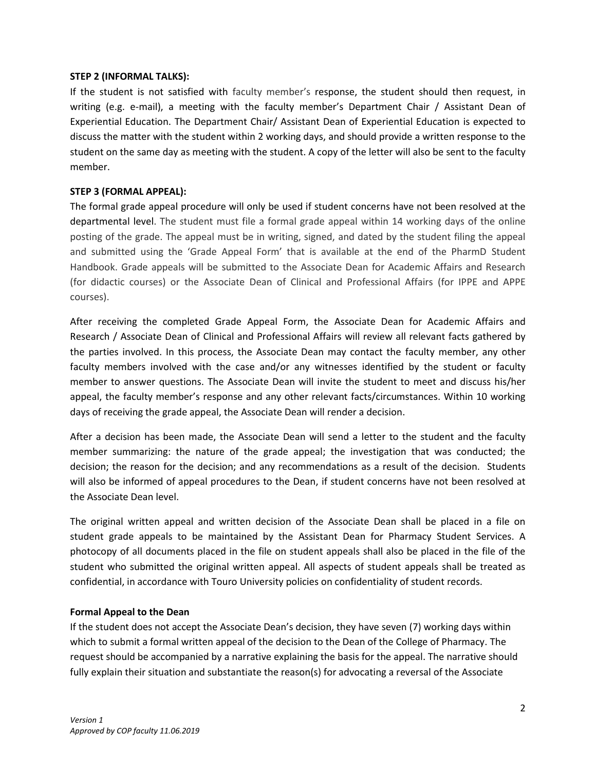#### **STEP 2 (INFORMAL TALKS):**

If the student is not satisfied with faculty member's response, the student should then request, in writing (e.g. e-mail), a meeting with the faculty member's Department Chair / Assistant Dean of Experiential Education. The Department Chair/ Assistant Dean of Experiential Education is expected to discuss the matter with the student within 2 working days, and should provide a written response to the student on the same day as meeting with the student. A copy of the letter will also be sent to the faculty member.

### **STEP 3 (FORMAL APPEAL):**

The formal grade appeal procedure will only be used if student concerns have not been resolved at the departmental level. The student must file a formal grade appeal within 14 working days of the online posting of the grade. The appeal must be in writing, signed, and dated by the student filing the appeal and submitted using the 'Grade Appeal Form' that is available at the end of the PharmD Student Handbook. Grade appeals will be submitted to the Associate Dean for Academic Affairs and Research (for didactic courses) or the Associate Dean of Clinical and Professional Affairs (for IPPE and APPE courses).

After receiving the completed Grade Appeal Form, the Associate Dean for Academic Affairs and Research / Associate Dean of Clinical and Professional Affairs will review all relevant facts gathered by the parties involved. In this process, the Associate Dean may contact the faculty member, any other faculty members involved with the case and/or any witnesses identified by the student or faculty member to answer questions. The Associate Dean will invite the student to meet and discuss his/her appeal, the faculty member's response and any other relevant facts/circumstances. Within 10 working days of receiving the grade appeal, the Associate Dean will render a decision.

After a decision has been made, the Associate Dean will send a letter to the student and the faculty member summarizing: the nature of the grade appeal; the investigation that was conducted; the decision; the reason for the decision; and any recommendations as a result of the decision. Students will also be informed of appeal procedures to the Dean, if student concerns have not been resolved at the Associate Dean level.

The original written appeal and written decision of the Associate Dean shall be placed in a file on student grade appeals to be maintained by the Assistant Dean for Pharmacy Student Services. A photocopy of all documents placed in the file on student appeals shall also be placed in the file of the student who submitted the original written appeal. All aspects of student appeals shall be treated as confidential, in accordance with Touro University policies on confidentiality of student records.

### **Formal Appeal to the Dean**

If the student does not accept the Associate Dean's decision, they have seven (7) working days within which to submit a formal written appeal of the decision to the Dean of the College of Pharmacy. The request should be accompanied by a narrative explaining the basis for the appeal. The narrative should fully explain their situation and substantiate the reason(s) for advocating a reversal of the Associate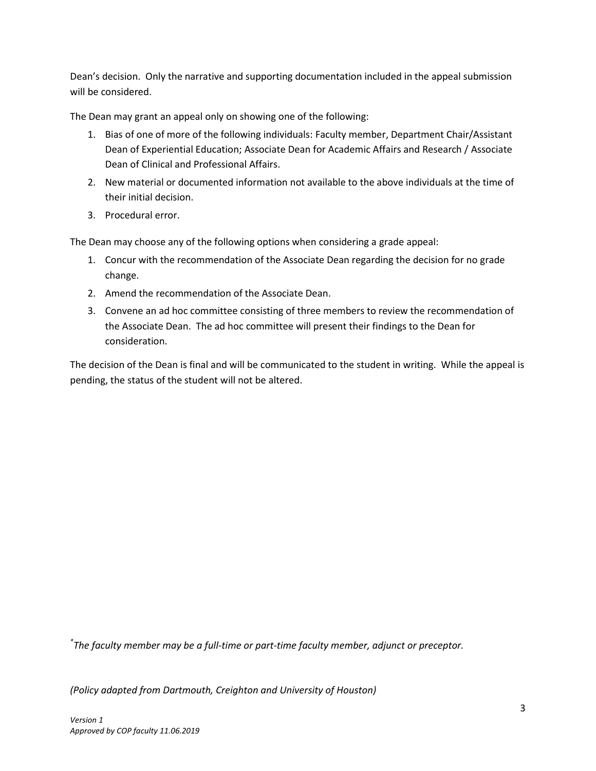Dean's decision. Only the narrative and supporting documentation included in the appeal submission will be considered.

The Dean may grant an appeal only on showing one of the following:

- 1. Bias of one of more of the following individuals: Faculty member, Department Chair/Assistant Dean of Experiential Education; Associate Dean for Academic Affairs and Research / Associate Dean of Clinical and Professional Affairs.
- 2. New material or documented information not available to the above individuals at the time of their initial decision.
- 3. Procedural error.

The Dean may choose any of the following options when considering a grade appeal:

- 1. Concur with the recommendation of the Associate Dean regarding the decision for no grade change.
- 2. Amend the recommendation of the Associate Dean.
- 3. Convene an ad hoc committee consisting of three members to review the recommendation of the Associate Dean. The ad hoc committee will present their findings to the Dean for consideration.

The decision of the Dean is final and will be communicated to the student in writing. While the appeal is pending, the status of the student will not be altered.

*\* The faculty member may be a full-time or part-time faculty member, adjunct or preceptor.*

*(Policy adapted from Dartmouth, Creighton and University of Houston)*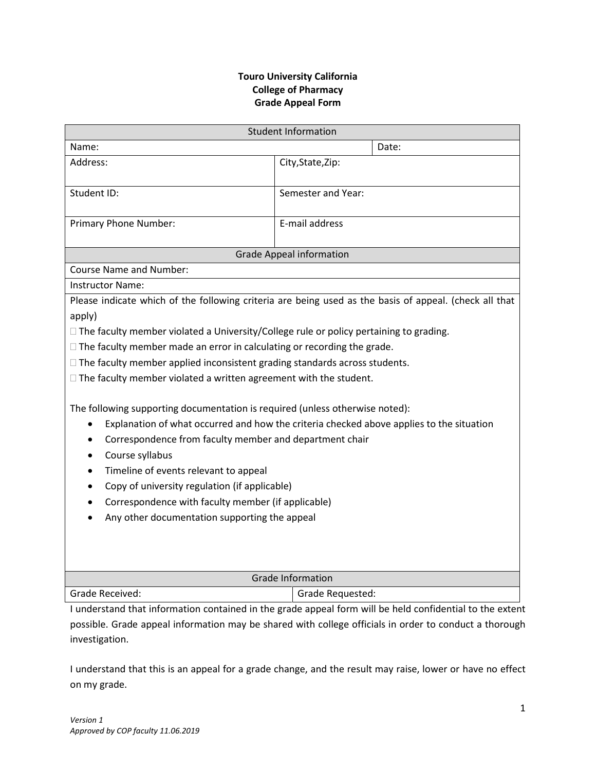# **Touro University California College of Pharmacy Grade Appeal Form**

| <b>Student Information</b>                                                                                                                                                                                                                                                                                                                                                                                                                                                                                                                                                                                                                                                                                                                                                                                                                                                                                                                                                               |                    |
|------------------------------------------------------------------------------------------------------------------------------------------------------------------------------------------------------------------------------------------------------------------------------------------------------------------------------------------------------------------------------------------------------------------------------------------------------------------------------------------------------------------------------------------------------------------------------------------------------------------------------------------------------------------------------------------------------------------------------------------------------------------------------------------------------------------------------------------------------------------------------------------------------------------------------------------------------------------------------------------|--------------------|
| Name:                                                                                                                                                                                                                                                                                                                                                                                                                                                                                                                                                                                                                                                                                                                                                                                                                                                                                                                                                                                    | Date:              |
| Address:                                                                                                                                                                                                                                                                                                                                                                                                                                                                                                                                                                                                                                                                                                                                                                                                                                                                                                                                                                                 | City, State, Zip:  |
| Student ID:                                                                                                                                                                                                                                                                                                                                                                                                                                                                                                                                                                                                                                                                                                                                                                                                                                                                                                                                                                              | Semester and Year: |
| Primary Phone Number:                                                                                                                                                                                                                                                                                                                                                                                                                                                                                                                                                                                                                                                                                                                                                                                                                                                                                                                                                                    | E-mail address     |
| <b>Grade Appeal information</b>                                                                                                                                                                                                                                                                                                                                                                                                                                                                                                                                                                                                                                                                                                                                                                                                                                                                                                                                                          |                    |
| <b>Course Name and Number:</b>                                                                                                                                                                                                                                                                                                                                                                                                                                                                                                                                                                                                                                                                                                                                                                                                                                                                                                                                                           |                    |
| Instructor Name:                                                                                                                                                                                                                                                                                                                                                                                                                                                                                                                                                                                                                                                                                                                                                                                                                                                                                                                                                                         |                    |
| Please indicate which of the following criteria are being used as the basis of appeal. (check all that<br>apply)<br>$\Box$ The faculty member violated a University/College rule or policy pertaining to grading.<br>$\Box$ The faculty member made an error in calculating or recording the grade.<br>$\Box$ The faculty member applied inconsistent grading standards across students.<br>$\Box$ The faculty member violated a written agreement with the student.<br>The following supporting documentation is required (unless otherwise noted):<br>Explanation of what occurred and how the criteria checked above applies to the situation<br>$\bullet$<br>Correspondence from faculty member and department chair<br>$\bullet$<br>Course syllabus<br>$\bullet$<br>Timeline of events relevant to appeal<br>٠<br>Copy of university regulation (if applicable)<br>$\bullet$<br>Correspondence with faculty member (if applicable)<br>Any other documentation supporting the appeal |                    |
| <b>Grade Information</b>                                                                                                                                                                                                                                                                                                                                                                                                                                                                                                                                                                                                                                                                                                                                                                                                                                                                                                                                                                 |                    |
| Grade Received:                                                                                                                                                                                                                                                                                                                                                                                                                                                                                                                                                                                                                                                                                                                                                                                                                                                                                                                                                                          | Grade Requested:   |
| Lunderstand that information contained in the grade anneal form will be held confidential to the exten                                                                                                                                                                                                                                                                                                                                                                                                                                                                                                                                                                                                                                                                                                                                                                                                                                                                                   |                    |

I understand that information contained in the grade appeal form will be held confidential to the extent possible. Grade appeal information may be shared with college officials in order to conduct a thorough investigation.

I understand that this is an appeal for a grade change, and the result may raise, lower or have no effect on my grade.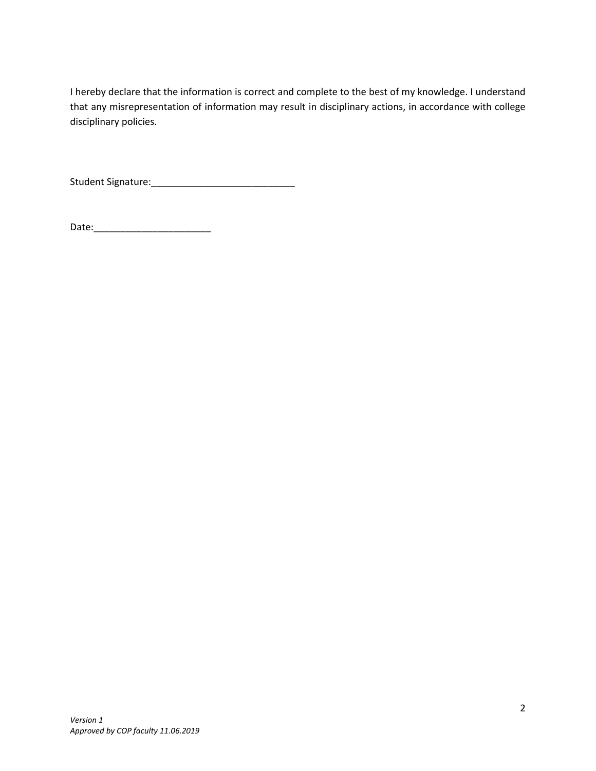I hereby declare that the information is correct and complete to the best of my knowledge. I understand that any misrepresentation of information may result in disciplinary actions, in accordance with college disciplinary policies.

Student Signature:\_\_\_\_\_\_\_\_\_\_\_\_\_\_\_\_\_\_\_\_\_\_\_\_\_\_\_

Date:\_\_\_\_\_\_\_\_\_\_\_\_\_\_\_\_\_\_\_\_\_\_